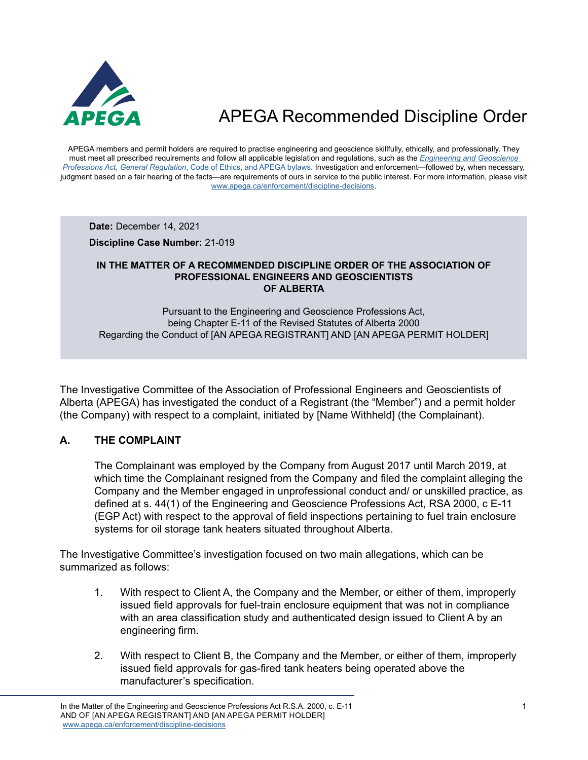

APEGA members and permit holders are required to practise engineering and geoscience skillfully, ethically, and professionally. They must meet all prescribed requirements and follow all applicable legislation and regulations, such as the *[Engineering and Geoscience](https://www.apega.ca/about-apega/publications/engineering-and-geoscience-professions-act)  Professions Act, General Regulation*[, Code of Ethics, and APEGA bylaws.](https://www.apega.ca/about-apega/publications/engineering-and-geoscience-professions-act) Investigation and enforcement—followed by, when necessary, judgment based on a fair hearing of the facts—are requirements of ours in service to the public interest. For more information, please visit [www.apega.ca/enforcement/discipline-decisions.](https://www.apega.ca/enforcement/discipline-decisions)

**Date:** December 14, 2021

**Discipline Case Number:** 21-019

#### **IN THE MATTER OF A RECOMMENDED DISCIPLINE ORDER OF THE ASSOCIATION OF PROFESSIONAL ENGINEERS AND GEOSCIENTISTS OF ALBERTA**

Pursuant to the Engineering and Geoscience Professions Act, being Chapter E-11 of the Revised Statutes of Alberta 2000 Regarding the Conduct of [AN APEGA REGISTRANT] AND [AN APEGA PERMIT HOLDER]

The Investigative Committee of the Association of Professional Engineers and Geoscientists of Alberta (APEGA) has investigated the conduct of a Registrant (the "Member") and a permit holder (the Company) with respect to a complaint, initiated by [Name Withheld] (the Complainant).

### **A. THE COMPLAINT**

The Complainant was employed by the Company from August 2017 until March 2019, at which time the Complainant resigned from the Company and filed the complaint alleging the Company and the Member engaged in unprofessional conduct and/ or unskilled practice, as defined at s. 44(1) of the Engineering and Geoscience Professions Act, RSA 2000, c E-11 (EGP Act) with respect to the approval of field inspections pertaining to fuel train enclosure systems for oil storage tank heaters situated throughout Alberta.

The Investigative Committee's investigation focused on two main allegations, which can be summarized as follows:

- 1. With respect to Client A, the Company and the Member, or either of them, improperly issued field approvals for fuel-train enclosure equipment that was not in compliance with an area classification study and authenticated design issued to Client A by an engineering firm.
- 2. With respect to Client B, the Company and the Member, or either of them, improperly issued field approvals for gas-fired tank heaters being operated above the manufacturer's specification.

In the Matter of the Engineering and Geoscience Professions Act R.S.A. 2000, c. E-11 AND OF [AN APEGA REGISTRANT] AND [AN APEGA PERMIT HOLDER] [www.apega.ca/enforcement/discipline-decisions](https://www.apega.ca/enforcement/discipline-decisions)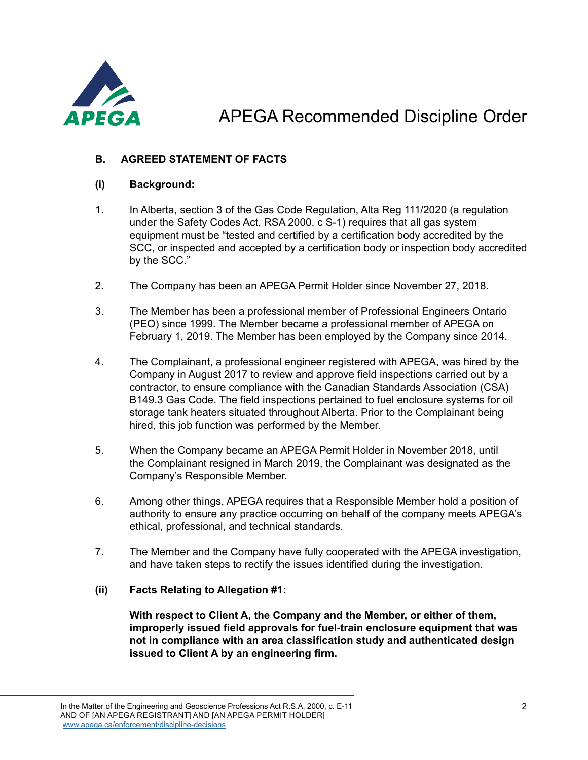

### **B. AGREED STATEMENT OF FACTS**

### **(i) Background:**

- 1. In Alberta, section 3 of the Gas Code Regulation, Alta Reg 111/2020 (a regulation under the Safety Codes Act, RSA 2000, c S-1) requires that all gas system equipment must be "tested and certified by a certification body accredited by the SCC, or inspected and accepted by a certification body or inspection body accredited by the SCC."
- 2. The Company has been an APEGA Permit Holder since November 27, 2018.
- 3. The Member has been a professional member of Professional Engineers Ontario (PEO) since 1999. The Member became a professional member of APEGA on February 1, 2019. The Member has been employed by the Company since 2014.
- 4. The Complainant, a professional engineer registered with APEGA, was hired by the Company in August 2017 to review and approve field inspections carried out by a contractor, to ensure compliance with the Canadian Standards Association (CSA) B149.3 Gas Code. The field inspections pertained to fuel enclosure systems for oil storage tank heaters situated throughout Alberta. Prior to the Complainant being hired, this job function was performed by the Member.
- 5. When the Company became an APEGA Permit Holder in November 2018, until the Complainant resigned in March 2019, the Complainant was designated as the Company's Responsible Member.
- 6. Among other things, APEGA requires that a Responsible Member hold a position of authority to ensure any practice occurring on behalf of the company meets APEGA's ethical, professional, and technical standards.
- 7. The Member and the Company have fully cooperated with the APEGA investigation, and have taken steps to rectify the issues identified during the investigation.

### **(ii) Facts Relating to Allegation #1:**

**With respect to Client A, the Company and the Member, or either of them, improperly issued field approvals for fuel-train enclosure equipment that was not in compliance with an area classification study and authenticated design issued to Client A by an engineering firm.**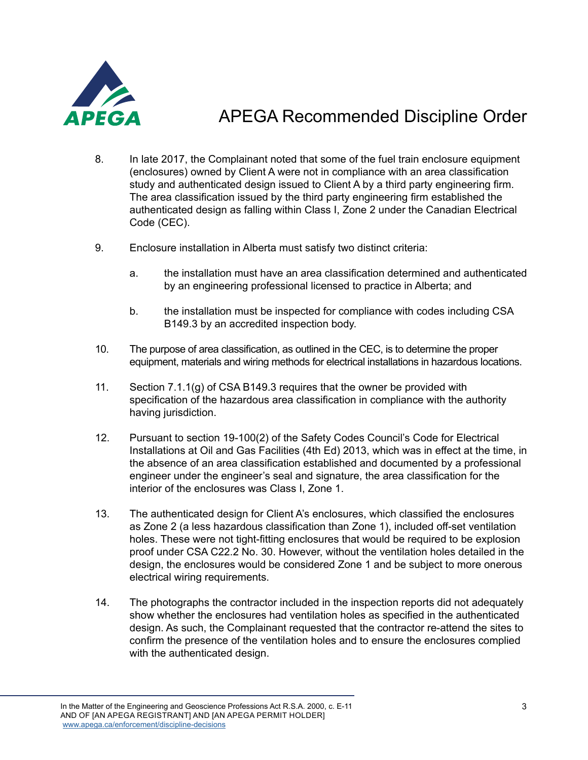

- 8. In late 2017, the Complainant noted that some of the fuel train enclosure equipment (enclosures) owned by Client A were not in compliance with an area classification study and authenticated design issued to Client A by a third party engineering firm. The area classification issued by the third party engineering firm established the authenticated design as falling within Class I, Zone 2 under the Canadian Electrical Code (CEC).
- 9. Enclosure installation in Alberta must satisfy two distinct criteria:
	- a. the installation must have an area classification determined and authenticated by an engineering professional licensed to practice in Alberta; and
	- b. the installation must be inspected for compliance with codes including CSA B149.3 by an accredited inspection body.
- 10. The purpose of area classification, as outlined in the CEC, is to determine the proper equipment, materials and wiring methods for electrical installations in hazardous locations.
- 11. Section 7.1.1(g) of CSA B149.3 requires that the owner be provided with specification of the hazardous area classification in compliance with the authority having jurisdiction.
- 12. Pursuant to section 19-100(2) of the Safety Codes Council's Code for Electrical Installations at Oil and Gas Facilities (4th Ed) 2013, which was in effect at the time, in the absence of an area classification established and documented by a professional engineer under the engineer's seal and signature, the area classification for the interior of the enclosures was Class I, Zone 1.
- 13. The authenticated design for Client A's enclosures, which classified the enclosures as Zone 2 (a less hazardous classification than Zone 1), included off-set ventilation holes. These were not tight-fitting enclosures that would be required to be explosion proof under CSA C22.2 No. 30. However, without the ventilation holes detailed in the design, the enclosures would be considered Zone 1 and be subject to more onerous electrical wiring requirements.
- 14. The photographs the contractor included in the inspection reports did not adequately show whether the enclosures had ventilation holes as specified in the authenticated design. As such, the Complainant requested that the contractor re-attend the sites to confirm the presence of the ventilation holes and to ensure the enclosures complied with the authenticated design.

In the Matter of the Engineering and Geoscience Professions Act R.S.A. 2000, c. E-11 AND OF [AN APEGA REGISTRANT] AND [AN APEGA PERMIT HOLDER] [www.apega.ca/enforcement/discipline-decisions](https://www.apega.ca/enforcement/discipline-decisions)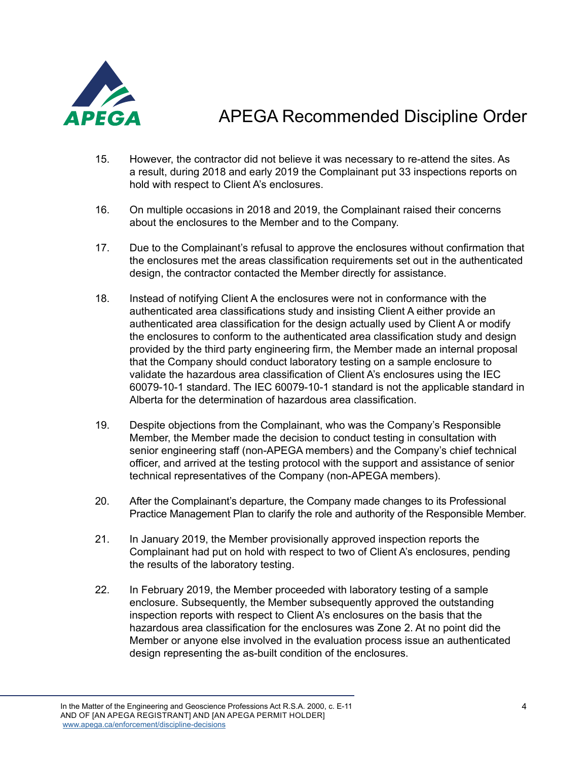

- 15. However, the contractor did not believe it was necessary to re-attend the sites. As a result, during 2018 and early 2019 the Complainant put 33 inspections reports on hold with respect to Client A's enclosures.
- 16. On multiple occasions in 2018 and 2019, the Complainant raised their concerns about the enclosures to the Member and to the Company.
- 17. Due to the Complainant's refusal to approve the enclosures without confirmation that the enclosures met the areas classification requirements set out in the authenticated design, the contractor contacted the Member directly for assistance.
- 18. Instead of notifying Client A the enclosures were not in conformance with the authenticated area classifications study and insisting Client A either provide an authenticated area classification for the design actually used by Client A or modify the enclosures to conform to the authenticated area classification study and design provided by the third party engineering firm, the Member made an internal proposal that the Company should conduct laboratory testing on a sample enclosure to validate the hazardous area classification of Client A's enclosures using the IEC 60079-10-1 standard. The IEC 60079-10-1 standard is not the applicable standard in Alberta for the determination of hazardous area classification.
- 19. Despite objections from the Complainant, who was the Company's Responsible Member, the Member made the decision to conduct testing in consultation with senior engineering staff (non-APEGA members) and the Company's chief technical officer, and arrived at the testing protocol with the support and assistance of senior technical representatives of the Company (non-APEGA members).
- 20. After the Complainant's departure, the Company made changes to its Professional Practice Management Plan to clarify the role and authority of the Responsible Member.
- 21. In January 2019, the Member provisionally approved inspection reports the Complainant had put on hold with respect to two of Client A's enclosures, pending the results of the laboratory testing.
- 22. In February 2019, the Member proceeded with laboratory testing of a sample enclosure. Subsequently, the Member subsequently approved the outstanding inspection reports with respect to Client A's enclosures on the basis that the hazardous area classification for the enclosures was Zone 2. At no point did the Member or anyone else involved in the evaluation process issue an authenticated design representing the as-built condition of the enclosures.

In the Matter of the Engineering and Geoscience Professions Act R.S.A. 2000, c. E-11 AND OF [AN APEGA REGISTRANT] AND [AN APEGA PERMIT HOLDER] [www.apega.ca/enforcement/discipline-decisions](https://www.apega.ca/enforcement/discipline-decisions)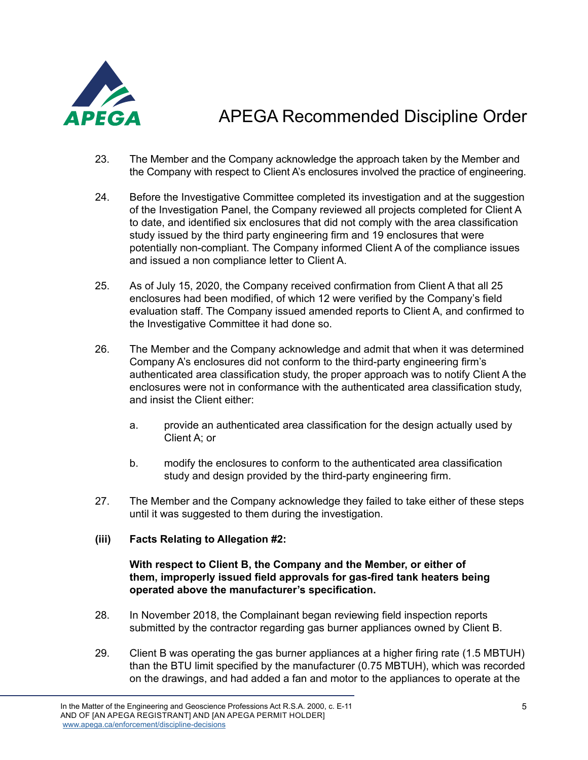

- 23. The Member and the Company acknowledge the approach taken by the Member and the Company with respect to Client A's enclosures involved the practice of engineering.
- 24. Before the Investigative Committee completed its investigation and at the suggestion of the Investigation Panel, the Company reviewed all projects completed for Client A to date, and identified six enclosures that did not comply with the area classification study issued by the third party engineering firm and 19 enclosures that were potentially non-compliant. The Company informed Client A of the compliance issues and issued a non compliance letter to Client A.
- 25. As of July 15, 2020, the Company received confirmation from Client A that all 25 enclosures had been modified, of which 12 were verified by the Company's field evaluation staff. The Company issued amended reports to Client A, and confirmed to the Investigative Committee it had done so.
- 26. The Member and the Company acknowledge and admit that when it was determined Company A's enclosures did not conform to the third-party engineering firm's authenticated area classification study, the proper approach was to notify Client A the enclosures were not in conformance with the authenticated area classification study, and insist the Client either:
	- a. provide an authenticated area classification for the design actually used by Client A; or
	- b. modify the enclosures to conform to the authenticated area classification study and design provided by the third-party engineering firm.
- 27. The Member and the Company acknowledge they failed to take either of these steps until it was suggested to them during the investigation.

#### **(iii) Facts Relating to Allegation #2:**

#### **With respect to Client B, the Company and the Member, or either of them, improperly issued field approvals for gas-fired tank heaters being operated above the manufacturer's specification.**

- 28. In November 2018, the Complainant began reviewing field inspection reports submitted by the contractor regarding gas burner appliances owned by Client B.
- 29. Client B was operating the gas burner appliances at a higher firing rate (1.5 MBTUH) than the BTU limit specified by the manufacturer (0.75 MBTUH), which was recorded on the drawings, and had added a fan and motor to the appliances to operate at the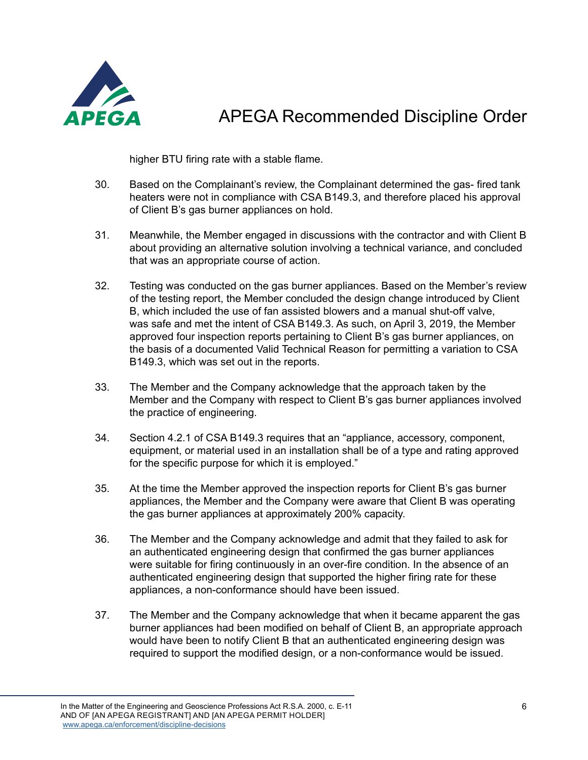

higher BTU firing rate with a stable flame.

- 30. Based on the Complainant's review, the Complainant determined the gas- fired tank heaters were not in compliance with CSA B149.3, and therefore placed his approval of Client B's gas burner appliances on hold.
- 31. Meanwhile, the Member engaged in discussions with the contractor and with Client B about providing an alternative solution involving a technical variance, and concluded that was an appropriate course of action.
- 32. Testing was conducted on the gas burner appliances. Based on the Member's review of the testing report, the Member concluded the design change introduced by Client B, which included the use of fan assisted blowers and a manual shut-off valve, was safe and met the intent of CSA B149.3. As such, on April 3, 2019, the Member approved four inspection reports pertaining to Client B's gas burner appliances, on the basis of a documented Valid Technical Reason for permitting a variation to CSA B149.3, which was set out in the reports.
- 33. The Member and the Company acknowledge that the approach taken by the Member and the Company with respect to Client B's gas burner appliances involved the practice of engineering.
- 34. Section 4.2.1 of CSA B149.3 requires that an "appliance, accessory, component, equipment, or material used in an installation shall be of a type and rating approved for the specific purpose for which it is employed."
- 35. At the time the Member approved the inspection reports for Client B's gas burner appliances, the Member and the Company were aware that Client B was operating the gas burner appliances at approximately 200% capacity.
- 36. The Member and the Company acknowledge and admit that they failed to ask for an authenticated engineering design that confirmed the gas burner appliances were suitable for firing continuously in an over-fire condition. In the absence of an authenticated engineering design that supported the higher firing rate for these appliances, a non-conformance should have been issued.
- 37. The Member and the Company acknowledge that when it became apparent the gas burner appliances had been modified on behalf of Client B, an appropriate approach would have been to notify Client B that an authenticated engineering design was required to support the modified design, or a non-conformance would be issued.

In the Matter of the Engineering and Geoscience Professions Act R.S.A. 2000, c. E-11 AND OF [AN APEGA REGISTRANT] AND [AN APEGA PERMIT HOLDER] [www.apega.ca/enforcement/discipline-decisions](https://www.apega.ca/enforcement/discipline-decisions)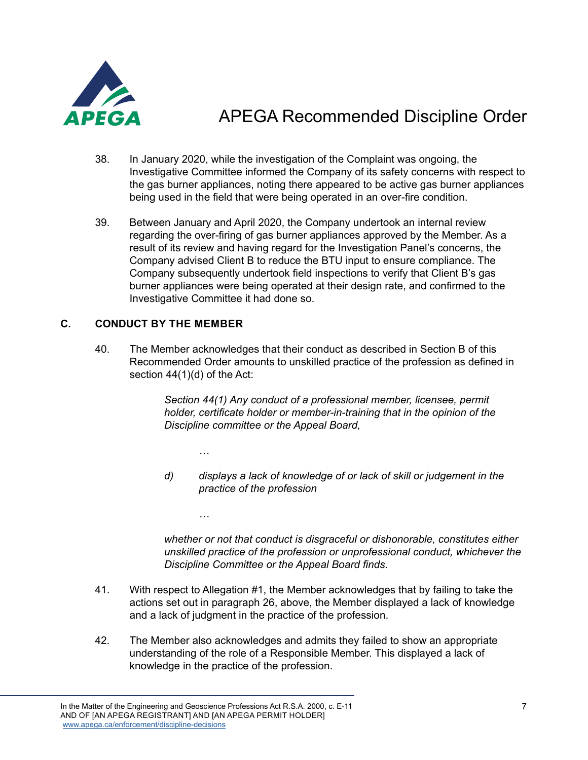

- 38. In January 2020, while the investigation of the Complaint was ongoing, the Investigative Committee informed the Company of its safety concerns with respect to the gas burner appliances, noting there appeared to be active gas burner appliances being used in the field that were being operated in an over-fire condition.
- 39. Between January and April 2020, the Company undertook an internal review regarding the over-firing of gas burner appliances approved by the Member. As a result of its review and having regard for the Investigation Panel's concerns, the Company advised Client B to reduce the BTU input to ensure compliance. The Company subsequently undertook field inspections to verify that Client B's gas burner appliances were being operated at their design rate, and confirmed to the Investigative Committee it had done so.

#### **C. CONDUCT BY THE MEMBER**

40. The Member acknowledges that their conduct as described in Section B of this Recommended Order amounts to unskilled practice of the profession as defined in section 44(1)(d) of the Act:

> *Section 44(1) Any conduct of a professional member, licensee, permit holder, certificate holder or member-in-training that in the opinion of the Discipline committee or the Appeal Board,*

*…*

*…*

*d) displays a lack of knowledge of or lack of skill or judgement in the practice of the profession*

*whether or not that conduct is disgraceful or dishonorable, constitutes either unskilled practice of the profession or unprofessional conduct, whichever the Discipline Committee or the Appeal Board finds.*

- 41. With respect to Allegation #1, the Member acknowledges that by failing to take the actions set out in paragraph 26, above, the Member displayed a lack of knowledge and a lack of judgment in the practice of the profession.
- 42. The Member also acknowledges and admits they failed to show an appropriate understanding of the role of a Responsible Member. This displayed a lack of knowledge in the practice of the profession.

In the Matter of the Engineering and Geoscience Professions Act R.S.A. 2000, c. E-11 AND OF [AN APEGA REGISTRANT] AND [AN APEGA PERMIT HOLDER] [www.apega.ca/enforcement/discipline-decisions](https://www.apega.ca/enforcement/discipline-decisions)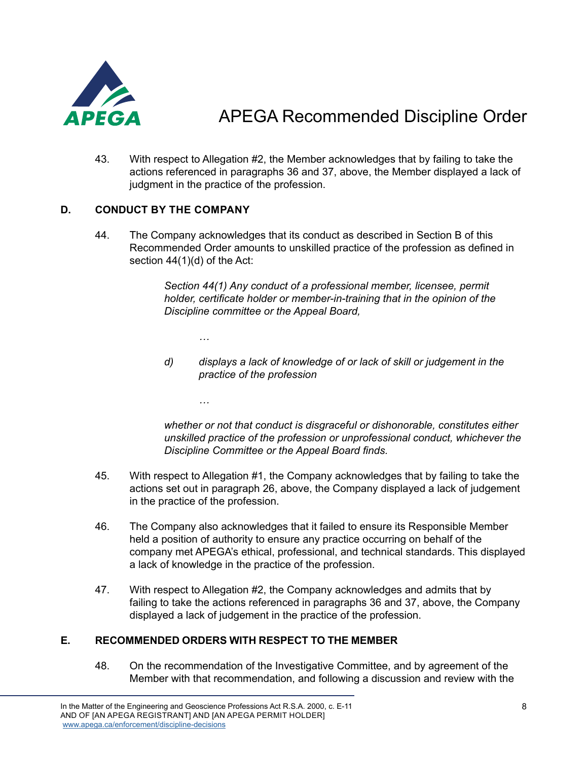

43. With respect to Allegation #2, the Member acknowledges that by failing to take the actions referenced in paragraphs 36 and 37, above, the Member displayed a lack of judgment in the practice of the profession.

### **D. CONDUCT BY THE COMPANY**

*…*

*…*

44. The Company acknowledges that its conduct as described in Section B of this Recommended Order amounts to unskilled practice of the profession as defined in section 44(1)(d) of the Act:

> *Section 44(1) Any conduct of a professional member, licensee, permit holder, certificate holder or member-in-training that in the opinion of the Discipline committee or the Appeal Board,*

*d) displays a lack of knowledge of or lack of skill or judgement in the practice of the profession*

*whether or not that conduct is disgraceful or dishonorable, constitutes either unskilled practice of the profession or unprofessional conduct, whichever the Discipline Committee or the Appeal Board finds.*

- 45. With respect to Allegation #1, the Company acknowledges that by failing to take the actions set out in paragraph 26, above, the Company displayed a lack of judgement in the practice of the profession.
- 46. The Company also acknowledges that it failed to ensure its Responsible Member held a position of authority to ensure any practice occurring on behalf of the company met APEGA's ethical, professional, and technical standards. This displayed a lack of knowledge in the practice of the profession.
- 47. With respect to Allegation #2, the Company acknowledges and admits that by failing to take the actions referenced in paragraphs 36 and 37, above, the Company displayed a lack of judgement in the practice of the profession.

#### **E. RECOMMENDED ORDERS WITH RESPECT TO THE MEMBER**

48. On the recommendation of the Investigative Committee, and by agreement of the Member with that recommendation, and following a discussion and review with the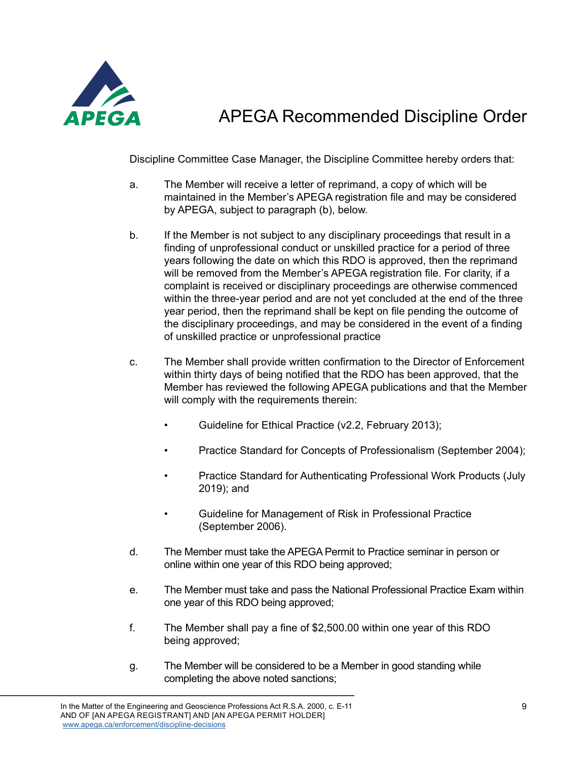

Discipline Committee Case Manager, the Discipline Committee hereby orders that:

- a. The Member will receive a letter of reprimand, a copy of which will be maintained in the Member's APEGA registration file and may be considered by APEGA, subject to paragraph (b), below.
- b. If the Member is not subject to any disciplinary proceedings that result in a finding of unprofessional conduct or unskilled practice for a period of three years following the date on which this RDO is approved, then the reprimand will be removed from the Member's APEGA registration file. For clarity, if a complaint is received or disciplinary proceedings are otherwise commenced within the three-year period and are not yet concluded at the end of the three year period, then the reprimand shall be kept on file pending the outcome of the disciplinary proceedings, and may be considered in the event of a finding of unskilled practice or unprofessional practice
- c. The Member shall provide written confirmation to the Director of Enforcement within thirty days of being notified that the RDO has been approved, that the Member has reviewed the following APEGA publications and that the Member will comply with the requirements therein:
	- Guideline for Ethical Practice (v2.2, February 2013);
	- Practice Standard for Concepts of Professionalism (September 2004);
	- Practice Standard for Authenticating Professional Work Products (July 2019); and
	- Guideline for Management of Risk in Professional Practice (September 2006).
- d. The Member must take the APEGA Permit to Practice seminar in person or online within one year of this RDO being approved;
- e. The Member must take and pass the National Professional Practice Exam within one year of this RDO being approved;
- f. The Member shall pay a fine of \$2,500.00 within one year of this RDO being approved;
- g. The Member will be considered to be a Member in good standing while completing the above noted sanctions;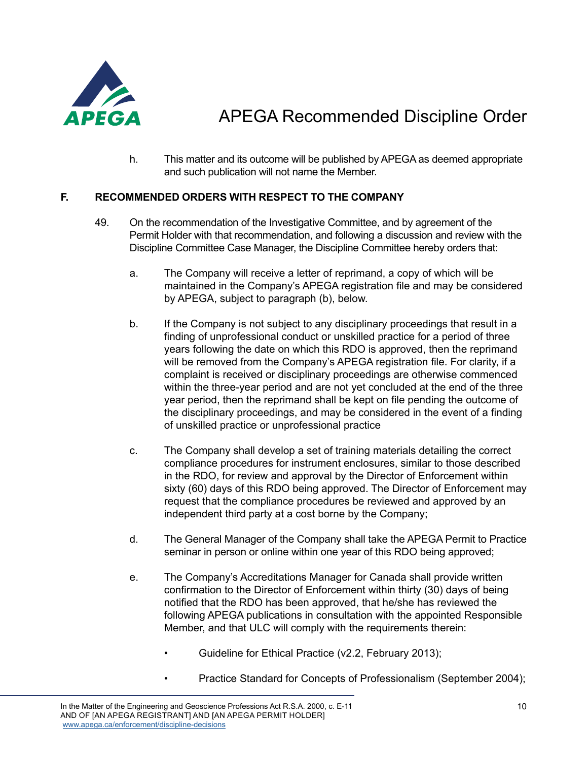

h. This matter and its outcome will be published by APEGA as deemed appropriate and such publication will not name the Member.

### **F. RECOMMENDED ORDERS WITH RESPECT TO THE COMPANY**

- 49. On the recommendation of the Investigative Committee, and by agreement of the Permit Holder with that recommendation, and following a discussion and review with the Discipline Committee Case Manager, the Discipline Committee hereby orders that:
	- a. The Company will receive a letter of reprimand, a copy of which will be maintained in the Company's APEGA registration file and may be considered by APEGA, subject to paragraph (b), below.
	- b. If the Company is not subject to any disciplinary proceedings that result in a finding of unprofessional conduct or unskilled practice for a period of three years following the date on which this RDO is approved, then the reprimand will be removed from the Company's APEGA registration file. For clarity, if a complaint is received or disciplinary proceedings are otherwise commenced within the three-year period and are not yet concluded at the end of the three year period, then the reprimand shall be kept on file pending the outcome of the disciplinary proceedings, and may be considered in the event of a finding of unskilled practice or unprofessional practice
	- c. The Company shall develop a set of training materials detailing the correct compliance procedures for instrument enclosures, similar to those described in the RDO, for review and approval by the Director of Enforcement within sixty (60) days of this RDO being approved. The Director of Enforcement may request that the compliance procedures be reviewed and approved by an independent third party at a cost borne by the Company;
	- d. The General Manager of the Company shall take the APEGA Permit to Practice seminar in person or online within one year of this RDO being approved;
	- e. The Company's Accreditations Manager for Canada shall provide written confirmation to the Director of Enforcement within thirty (30) days of being notified that the RDO has been approved, that he/she has reviewed the following APEGA publications in consultation with the appointed Responsible Member, and that ULC will comply with the requirements therein:
		- Guideline for Ethical Practice (v2.2, February 2013);
		- Practice Standard for Concepts of Professionalism (September 2004);